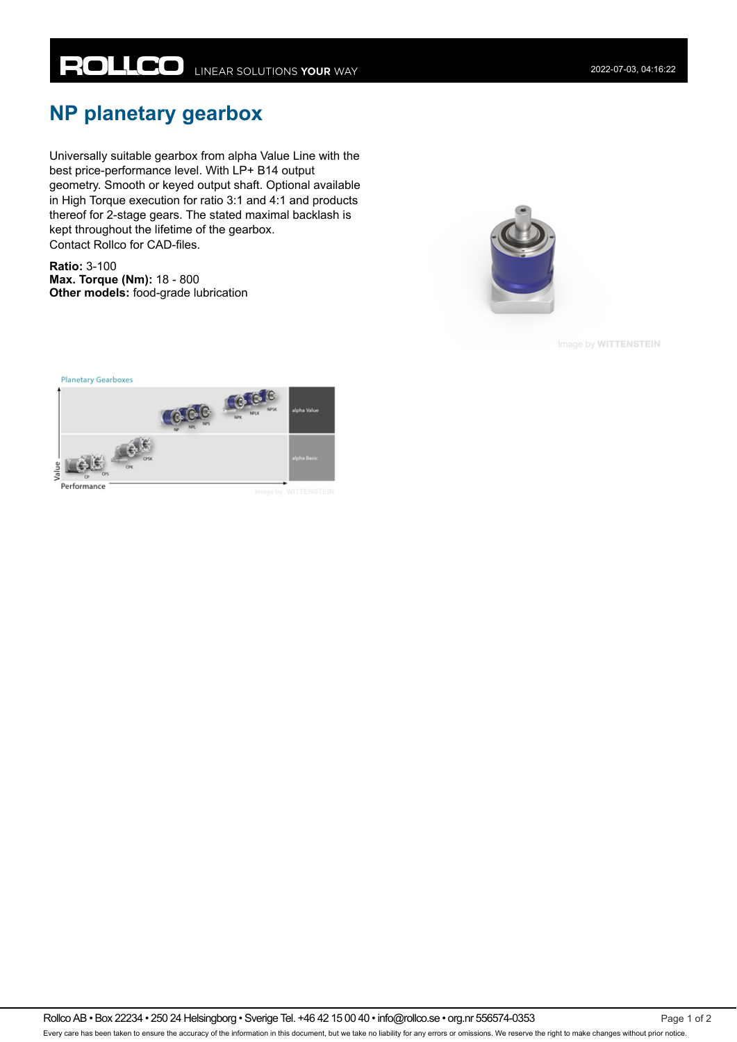## **NP planetary gearbox**

Universally suitable gearbox from alpha Value Line with the best price-performance level. With LP+ B14 output geometry. Smooth or keyed output shaft. Optional available in High Torque execution for ratio 3:1 and 4:1 and products thereof for 2-stage gears. The stated maximal backlash is kept throughout the lifetime of the gearbox. Contact Rollco for CAD-files.

**Ratio:** 3-100 **Max. Torque (Nm):** 18 - 800 **Other models:** food-grade lubrication



Image by WITTENSTEIN



Rollco AB • Box 22234 • 250 24 Helsingborg • Sverige Tel. +46 42 15 00 40 • info@rollco.se • org.nr 556574-0353 Page 1 of 2 Every care has been taken to ensure the accuracy of the information in this document, but we take no liability for any errors or omissions. We reserve the right to make changes without prior notice.